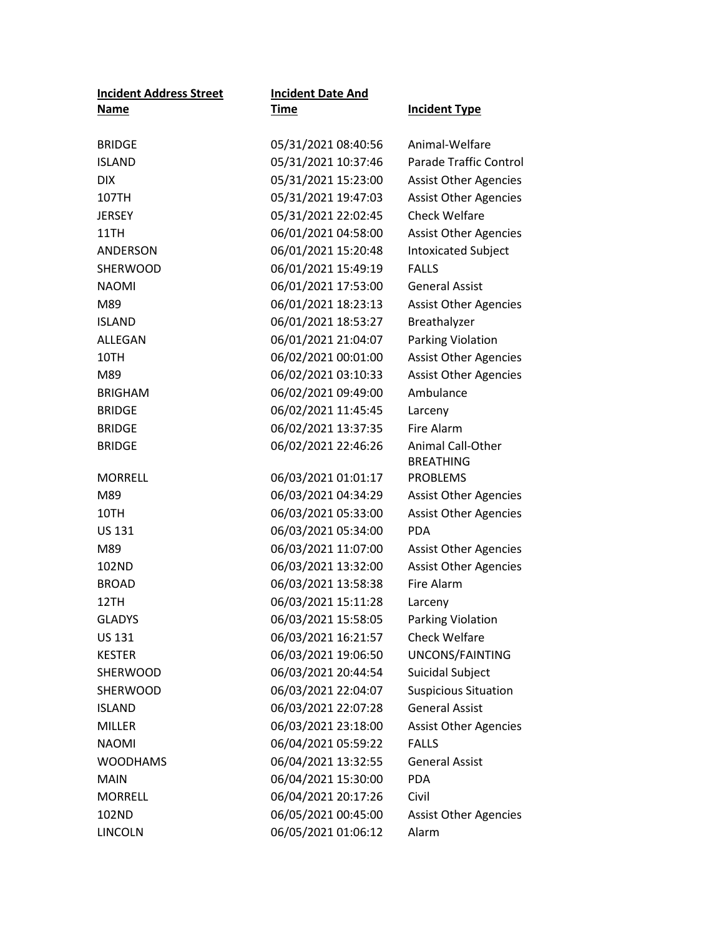| <b>Incident Address Street</b> | <b>Incident Date And</b> |                               |
|--------------------------------|--------------------------|-------------------------------|
| <b>Name</b>                    | <u>Time</u>              | <b>Incident Type</b>          |
|                                |                          |                               |
| <b>BRIDGE</b>                  | 05/31/2021 08:40:56      | Animal-Welfare                |
| <b>ISLAND</b>                  | 05/31/2021 10:37:46      | <b>Parade Traffic Control</b> |
| <b>DIX</b>                     | 05/31/2021 15:23:00      | <b>Assist Other Agencies</b>  |
| 107TH                          | 05/31/2021 19:47:03      | <b>Assist Other Agencies</b>  |
| <b>JERSEY</b>                  | 05/31/2021 22:02:45      | <b>Check Welfare</b>          |
| 11TH                           | 06/01/2021 04:58:00      | <b>Assist Other Agencies</b>  |
| ANDERSON                       | 06/01/2021 15:20:48      | <b>Intoxicated Subject</b>    |
| <b>SHERWOOD</b>                | 06/01/2021 15:49:19      | <b>FALLS</b>                  |
| <b>NAOMI</b>                   | 06/01/2021 17:53:00      | <b>General Assist</b>         |
| M89                            | 06/01/2021 18:23:13      | <b>Assist Other Agencies</b>  |
| <b>ISLAND</b>                  | 06/01/2021 18:53:27      | Breathalyzer                  |
| <b>ALLEGAN</b>                 | 06/01/2021 21:04:07      | Parking Violation             |
| 10TH                           | 06/02/2021 00:01:00      | <b>Assist Other Agencies</b>  |
| M89                            | 06/02/2021 03:10:33      | <b>Assist Other Agencies</b>  |
| <b>BRIGHAM</b>                 | 06/02/2021 09:49:00      | Ambulance                     |
| <b>BRIDGE</b>                  | 06/02/2021 11:45:45      | Larceny                       |
| <b>BRIDGE</b>                  | 06/02/2021 13:37:35      | Fire Alarm                    |
| <b>BRIDGE</b>                  | 06/02/2021 22:46:26      | <b>Animal Call-Other</b>      |
|                                |                          | <b>BREATHING</b>              |
| <b>MORRELL</b>                 | 06/03/2021 01:01:17      | <b>PROBLEMS</b>               |
| M89                            | 06/03/2021 04:34:29      | <b>Assist Other Agencies</b>  |
| 10TH                           | 06/03/2021 05:33:00      | <b>Assist Other Agencies</b>  |
| <b>US 131</b>                  | 06/03/2021 05:34:00      | <b>PDA</b>                    |
| M89                            | 06/03/2021 11:07:00      | <b>Assist Other Agencies</b>  |
| 102ND                          | 06/03/2021 13:32:00      | <b>Assist Other Agencies</b>  |
| <b>BROAD</b>                   | 06/03/2021 13:58:38      | Fire Alarm                    |
| 12TH                           | 06/03/2021 15:11:28      | Larceny                       |
| <b>GLADYS</b>                  | 06/03/2021 15:58:05      | <b>Parking Violation</b>      |
| US 131                         | 06/03/2021 16:21:57      | <b>Check Welfare</b>          |
| <b>KESTER</b>                  | 06/03/2021 19:06:50      | UNCONS/FAINTING               |
| SHERWOOD                       | 06/03/2021 20:44:54      | Suicidal Subject              |
| <b>SHERWOOD</b>                | 06/03/2021 22:04:07      | <b>Suspicious Situation</b>   |
| <b>ISLAND</b>                  | 06/03/2021 22:07:28      | <b>General Assist</b>         |
| <b>MILLER</b>                  | 06/03/2021 23:18:00      | <b>Assist Other Agencies</b>  |
| <b>NAOMI</b>                   | 06/04/2021 05:59:22      | <b>FALLS</b>                  |
| <b>WOODHAMS</b>                | 06/04/2021 13:32:55      | <b>General Assist</b>         |
| <b>MAIN</b>                    | 06/04/2021 15:30:00      | <b>PDA</b>                    |
| <b>MORRELL</b>                 | 06/04/2021 20:17:26      | Civil                         |
| 102ND                          | 06/05/2021 00:45:00      | <b>Assist Other Agencies</b>  |
| <b>LINCOLN</b>                 | 06/05/2021 01:06:12      | Alarm                         |